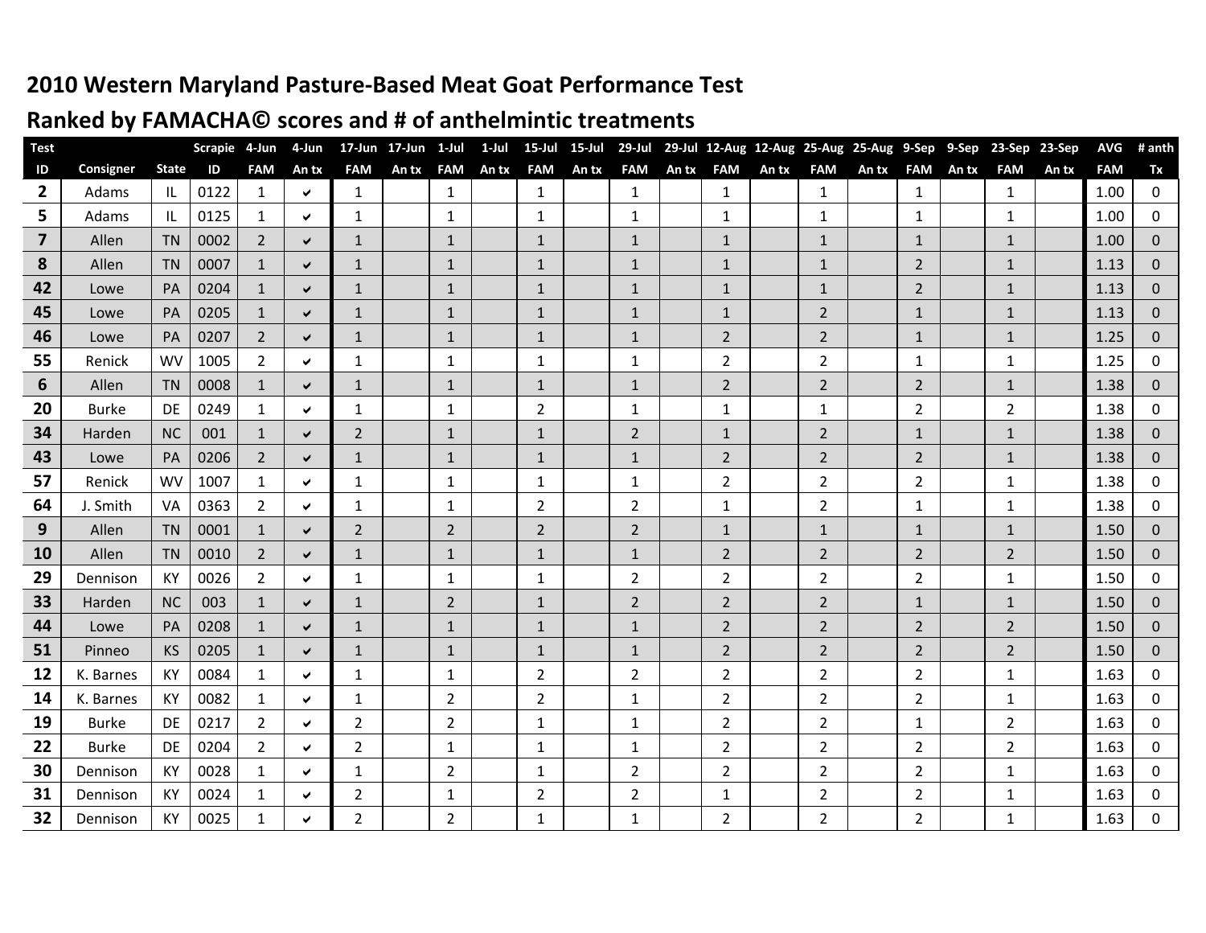## **2010 Western Maryland Pasture-Based Meat Goat Performance Test**

### **Ranked by FAMACHA© scores and # of anthelmintic treatments**

| <b>Test</b>             |              |              | <b>Scrapie</b> | 4-Jun          | 4-Jun        | $17$ -Jun      | 17-Jun | 1-Jul          | 1-Jul | 15-Jul         | $15$ -Jul | 29-Jul         |       |                |       | 29-Jul 12-Aug 12-Aug 25-Aug 25-Aug |       | 9-Sep          | 9-Sep | 23-Sep         | 23-Sep | <b>AVG</b> | # anth       |
|-------------------------|--------------|--------------|----------------|----------------|--------------|----------------|--------|----------------|-------|----------------|-----------|----------------|-------|----------------|-------|------------------------------------|-------|----------------|-------|----------------|--------|------------|--------------|
| ID                      | Consigner    | <b>State</b> | ID             | <b>FAM</b>     | An tx        | <b>FAM</b>     | An tx  | <b>FAM</b>     | An tx | <b>FAM</b>     | An tx     | <b>FAM</b>     | An tx | <b>FAM</b>     | An tx | <b>FAM</b>                         | An tx | <b>FAM</b>     | An tx | <b>FAM</b>     | An tx  | <b>FAM</b> | Tx           |
| $\overline{2}$          | Adams        | ΙL           | 0122           | $\mathbf{1}$   | Ý.           | $\mathbf{1}$   |        | $\mathbf{1}$   |       | $\mathbf{1}$   |           | $\mathbf{1}$   |       | $\mathbf{1}$   |       | $\mathbf{1}$                       |       | $\mathbf{1}$   |       | $\mathbf{1}$   |        | 1.00       | 0            |
| 5                       | Adams        | ΙL           | 0125           | $\mathbf{1}$   | ✓            | 1              |        | 1              |       | 1              |           | 1              |       | 1              |       | 1                                  |       | 1              |       | $\mathbf{1}$   |        | 1.00       | $\mathbf 0$  |
| $\overline{\mathbf{z}}$ | Allen        | <b>TN</b>    | 0002           | $\overline{2}$ | ✔            | $\mathbf{1}$   |        | $\mathbf{1}$   |       | 1              |           | $\mathbf{1}$   |       | 1              |       | $\mathbf{1}$                       |       | $\mathbf{1}$   |       | $\mathbf{1}$   |        | 1.00       | $\mathbf 0$  |
| 8                       | Allen        | <b>TN</b>    | 0007           | $\mathbf{1}$   | $\checkmark$ | $\mathbf{1}$   |        | $\mathbf{1}$   |       | $\mathbf{1}$   |           | $\mathbf{1}$   |       | $\mathbf{1}$   |       | $\mathbf{1}$                       |       | $2^{\circ}$    |       | $\mathbf{1}$   |        | 1.13       | $\mathbf 0$  |
| 42                      | Lowe         | PA           | 0204           | $\mathbf{1}$   | $\checkmark$ | $\mathbf{1}$   |        | $\mathbf{1}$   |       | $\mathbf{1}$   |           | $\mathbf{1}$   |       | $\mathbf{1}$   |       | $\mathbf{1}$                       |       | $\overline{2}$ |       | $\mathbf{1}$   |        | 1.13       | $\pmb{0}$    |
| 45                      | Lowe         | PA           | 0205           | $\mathbf{1}$   | ✔            | 1              |        | 1              |       | $\mathbf{1}$   |           | $\mathbf{1}$   |       | 1              |       | $\overline{2}$                     |       | $\mathbf{1}$   |       | $\mathbf{1}$   |        | 1.13       | $\mathbf 0$  |
| 46                      | Lowe         | PA           | 0207           | 2              | $\checkmark$ | $\mathbf{1}$   |        | $\mathbf{1}$   |       | $\mathbf{1}$   |           | $\mathbf{1}$   |       | $\overline{2}$ |       | $\overline{2}$                     |       | $\mathbf{1}$   |       | $\mathbf{1}$   |        | 1.25       | $\mathbf{0}$ |
| 55                      | Renick       | <b>WV</b>    | 1005           | $\overline{2}$ | ✓            | 1              |        | 1              |       | 1              |           | 1              |       | $\overline{2}$ |       | $\overline{2}$                     |       | $\mathbf{1}$   |       | $\mathbf{1}$   |        | 1.25       | 0            |
| 6                       | Allen        | <b>TN</b>    | 0008           | $\mathbf{1}$   | $\checkmark$ | $\mathbf{1}$   |        | $\mathbf{1}$   |       | $\mathbf{1}$   |           | $\mathbf{1}$   |       | $\overline{2}$ |       | $\overline{2}$                     |       | $2^{\circ}$    |       | $\mathbf{1}$   |        | 1.38       | $\mathbf{0}$ |
| 20                      | <b>Burke</b> | DE           | 0249           | $\mathbf{1}$   | ✔            | 1              |        | $\mathbf{1}$   |       | 2              |           | $\mathbf{1}$   |       | 1              |       | $\mathbf{1}$                       |       | $2^{\circ}$    |       | $\overline{2}$ |        | 1.38       | $\mathbf 0$  |
| 34                      | Harden       | <b>NC</b>    | 001            | $\mathbf{1}$   | $\checkmark$ | $\overline{2}$ |        | $\mathbf{1}$   |       | $\mathbf{1}$   |           | $\overline{2}$ |       | $\mathbf{1}$   |       | $\overline{2}$                     |       | $\mathbf{1}$   |       | $\mathbf{1}$   |        | 1.38       | $\mathbf 0$  |
| 43                      | Lowe         | PA           | 0206           | $\overline{2}$ | ✔            | $\mathbf{1}$   |        | $\mathbf{1}$   |       | $\mathbf{1}$   |           | $\mathbf{1}$   |       | $\overline{2}$ |       | $\overline{2}$                     |       | $\overline{2}$ |       | $\mathbf{1}$   |        | 1.38       | $\pmb{0}$    |
| 57                      | Renick       | <b>WV</b>    | 1007           | $\mathbf{1}$   | ✔            | $\mathbf{1}$   |        | 1              |       | $\mathbf{1}$   |           | $\mathbf{1}$   |       | $\overline{2}$ |       | $\overline{2}$                     |       | $\overline{2}$ |       | $\mathbf{1}$   |        | 1.38       | 0            |
| 64                      | J. Smith     | VA           | 0363           | $\overline{2}$ | ✔            | 1              |        | 1              |       | $\overline{2}$ |           | $\overline{2}$ |       | 1              |       | $\overline{2}$                     |       | 1              |       | $\mathbf{1}$   |        | 1.38       | 0            |
| 9                       | Allen        | <b>TN</b>    | 0001           | $\mathbf{1}$   | $\checkmark$ | 2              |        | $\overline{2}$ |       | $\overline{2}$ |           | $\overline{2}$ |       | 1              |       | $\mathbf{1}$                       |       | $\mathbf{1}$   |       | $\mathbf{1}$   |        | 1.50       | $\pmb{0}$    |
| 10                      | Allen        | <b>TN</b>    | 0010           | $\overline{2}$ | $\checkmark$ | $\mathbf{1}$   |        | $\mathbf{1}$   |       | $\mathbf{1}$   |           | $\mathbf{1}$   |       | $\overline{2}$ |       | $\overline{2}$                     |       | $\overline{2}$ |       | $\overline{2}$ |        | 1.50       | $\mathbf 0$  |
| 29                      | Dennison     | KY           | 0026           | $\overline{2}$ | ✔            | $\mathbf{1}$   |        | $\mathbf{1}$   |       | 1              |           | $\overline{2}$ |       | $\overline{2}$ |       | $\overline{2}$                     |       | $\overline{2}$ |       | $\mathbf{1}$   |        | 1.50       | 0            |
| 33                      | Harden       | <b>NC</b>    | 003            | $\mathbf{1}$   | ✔            | $\mathbf{1}$   |        | $\overline{2}$ |       | $\mathbf{1}$   |           | $\overline{2}$ |       | $\overline{2}$ |       | $\overline{2}$                     |       | $\mathbf{1}$   |       | $\mathbf{1}$   |        | 1.50       | $\pmb{0}$    |
| 44                      | Lowe         | PA           | 0208           | $\mathbf{1}$   | $\checkmark$ | $\mathbf{1}$   |        | $\mathbf{1}$   |       | $\mathbf{1}$   |           | $\mathbf{1}$   |       | $\overline{2}$ |       | $\overline{2}$                     |       | $\overline{2}$ |       | $\overline{2}$ |        | 1.50       | $\pmb{0}$    |
| 51                      | Pinneo       | KS           | 0205           | $\mathbf{1}$   | $\checkmark$ | $\mathbf{1}$   |        | $\mathbf{1}$   |       | $\mathbf{1}$   |           | $\mathbf{1}$   |       | $\overline{2}$ |       | $\overline{2}$                     |       | $\overline{2}$ |       | $\overline{2}$ |        | 1.50       | $\pmb{0}$    |
| 12                      | K. Barnes    | KY           | 0084           | $\mathbf{1}$   | ✓            | $\mathbf{1}$   |        | 1              |       | $\overline{2}$ |           | $\overline{2}$ |       | $\overline{2}$ |       | $\overline{2}$                     |       | $\overline{2}$ |       | $\mathbf{1}$   |        | 1.63       | $\pmb{0}$    |
| 14                      | K. Barnes    | KY           | 0082           | $\mathbf{1}$   | ✔            | 1              |        | 2              |       | $\overline{2}$ |           | 1              |       | 2              |       | $\overline{2}$                     |       | $\overline{2}$ |       | $\mathbf{1}$   |        | 1.63       | 0            |
| 19                      | <b>Burke</b> | DE           | 0217           | $\overline{2}$ | ✔            | $\overline{2}$ |        | 2              |       | 1              |           | 1              |       | $\overline{2}$ |       | $\overline{2}$                     |       | $\mathbf{1}$   |       | $\overline{2}$ |        | 1.63       | 0            |
| 22                      | <b>Burke</b> | DE           | 0204           | $\overline{2}$ | ✔            | $\overline{2}$ |        | $\mathbf{1}$   |       | 1              |           | $\mathbf{1}$   |       | 2              |       | $\overline{2}$                     |       | $\overline{2}$ |       | $\overline{2}$ |        | 1.63       | 0            |
| 30                      | Dennison     | KY           | 0028           | $\mathbf{1}$   | ✔            | 1              |        | $\overline{2}$ |       | 1              |           | 2              |       | 2              |       | $\overline{2}$                     |       | $\overline{2}$ |       | $\mathbf{1}$   |        | 1.63       | 0            |
| 31                      | Dennison     | KY           | 0024           | $\mathbf{1}$   | ✔            | $\overline{2}$ |        | 1              |       | 2              |           | $\overline{2}$ |       | 1              |       | $\overline{2}$                     |       | $\overline{2}$ |       | 1              |        | 1.63       | 0            |
| 32                      | Dennison     | KY           | 0025           | $\mathbf{1}$   | ✔            | $\overline{2}$ |        | $\overline{2}$ |       | 1              |           | $\mathbf{1}$   |       | $\overline{2}$ |       | $\overline{2}$                     |       | $2^{\circ}$    |       | $\mathbf{1}$   |        | 1.63       | $\mathbf 0$  |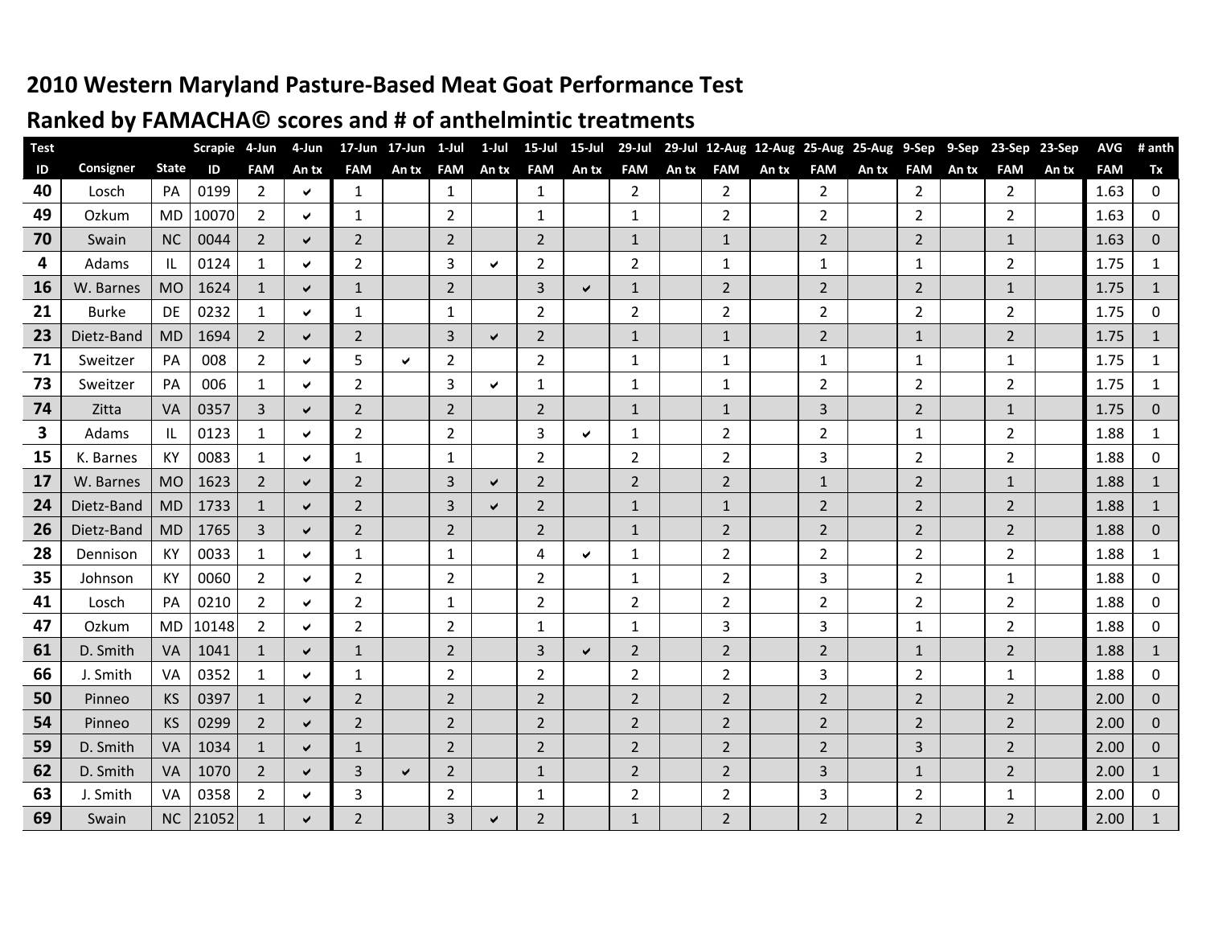#### **2010 Western Maryland Pasture-Based Meat Goat Performance Test**

#### **Ranked by FAMACHA© scores and # of anthelmintic treatments**

| <b>Test</b>   |              |              | Scrapie 4-Jun |                | 4-Jun |                | 17-Jun 17-Jun 1-Jul |                | 1-Jul        | 15-Jul         | $15 -$ Jul   | 29-Jul         |       |                |       | 29-Jul 12-Aug 12-Aug 25-Aug 25-Aug 9-Sep |       |                | 9-Sep | 23-Sep 23-Sep  |       | <b>AVG</b> | # anth       |
|---------------|--------------|--------------|---------------|----------------|-------|----------------|---------------------|----------------|--------------|----------------|--------------|----------------|-------|----------------|-------|------------------------------------------|-------|----------------|-------|----------------|-------|------------|--------------|
| $\mathsf{ID}$ | Consigner    | <b>State</b> | ID            | <b>FAM</b>     | An tx | <b>FAM</b>     | An tx               | <b>FAM</b>     | An tx        | <b>FAM</b>     | An tx        | <b>FAM</b>     | An tx | <b>FAM</b>     | An tx | <b>FAM</b>                               | An tx | <b>FAM</b>     | An tx | <b>FAM</b>     | An tx | <b>FAM</b> | Tx           |
| 40            | Losch        | PA           | 0199          | $\overline{2}$ | ✓     | $\mathbf{1}$   |                     | $\mathbf{1}$   |              | 1              |              | $\overline{2}$ |       | $\overline{2}$ |       | $\overline{2}$                           |       | $\overline{2}$ |       | $\overline{2}$ |       | 1.63       | 0            |
| 49            | Ozkum        | MD           | 10070         | $\overline{2}$ | ✓     | 1              |                     | 2              |              | 1              |              | $\mathbf{1}$   |       | 2              |       | $\overline{2}$                           |       | $\overline{2}$ |       | $\overline{2}$ |       | 1.63       | $\mathbf{0}$ |
| 70            | Swain        | <b>NC</b>    | 0044          | $\overline{2}$ | ✓     | $\overline{2}$ |                     | $\overline{2}$ |              | 2              |              | $\mathbf{1}$   |       | $\mathbf{1}$   |       | $2^{\circ}$                              |       | $\overline{2}$ |       | $\mathbf{1}$   |       | 1.63       | $\mathbf{0}$ |
| 4             | Adams        | IL           | 0124          | 1              | ✔     | $\overline{2}$ |                     | 3              | $\checkmark$ | $\overline{2}$ |              | $\overline{2}$ |       | 1              |       | 1                                        |       | $\mathbf{1}$   |       | $\overline{2}$ |       | 1.75       | 1            |
| 16            | W. Barnes    | <b>MO</b>    | 1624          | $\mathbf{1}$   | ✔     | $\mathbf{1}$   |                     | $\overline{2}$ |              | 3              | $\checkmark$ | $\mathbf{1}$   |       | $\overline{2}$ |       | $2^{\circ}$                              |       | $\overline{2}$ |       | $\mathbf{1}$   |       | 1.75       | $\mathbf{1}$ |
| 21            | <b>Burke</b> | DE           | 0232          | $\mathbf{1}$   | ✔     | $\mathbf{1}$   |                     | $\mathbf{1}$   |              | $\overline{2}$ |              | $\overline{2}$ |       | 2              |       | $\overline{2}$                           |       | $\overline{2}$ |       | $\overline{2}$ |       | 1.75       | 0            |
| 23            | Dietz-Band   | <b>MD</b>    | 1694          | $\overline{2}$ | ✔     | $\overline{2}$ |                     | 3              | ✔            | $\overline{2}$ |              | $\mathbf{1}$   |       | $\mathbf{1}$   |       | $\overline{2}$                           |       | $\mathbf{1}$   |       | $\overline{2}$ |       | 1.75       | $\mathbf{1}$ |
| 71            | Sweitzer     | PA           | 008           | $\overline{2}$ | ✔     | 5              | $\checkmark$        | 2              |              | $\overline{2}$ |              | $\mathbf{1}$   |       | $\mathbf{1}$   |       | $\mathbf{1}$                             |       | $\mathbf{1}$   |       | $\mathbf{1}$   |       | 1.75       | $\mathbf{1}$ |
| 73            | Sweitzer     | PA           | 006           | 1              | ✓     | 2              |                     | 3              | ✓            | 1              |              | 1              |       | $\mathbf{1}$   |       | $\overline{2}$                           |       | $\overline{2}$ |       | $\overline{2}$ |       | 1.75       | 1            |
| 74            | Zitta        | VA           | 0357          | 3              | ✔     | $\overline{2}$ |                     | $\overline{2}$ |              | $\overline{2}$ |              | $\mathbf{1}$   |       | $\mathbf{1}$   |       | 3                                        |       | $\overline{2}$ |       | $\mathbf{1}$   |       | 1.75       | $\mathbf{0}$ |
| 3             | Adams        | IL           | 0123          | 1              | ✔     | 2              |                     | $\overline{2}$ |              | 3              | $\checkmark$ | 1              |       | 2              |       | $\mathbf{2}$                             |       | $\mathbf{1}$   |       | $\overline{2}$ |       | 1.88       | 1            |
| 15            | K. Barnes    | KY           | 0083          | $\mathbf{1}$   | ✔     | 1              |                     | 1              |              | 2              |              | $\overline{2}$ |       | 2              |       | 3                                        |       | $\overline{2}$ |       | $\overline{2}$ |       | 1.88       | 0            |
| 17            | W. Barnes    | <b>MO</b>    | 1623          | 2              | ✔     | 2              |                     | 3              | ✔            | 2              |              | 2              |       | $\overline{2}$ |       | $\mathbf{1}$                             |       | $\overline{2}$ |       | $\mathbf{1}$   |       | 1.88       | $\mathbf{1}$ |
| 24            | Dietz-Band   | <b>MD</b>    | 1733          | $\mathbf{1}$   | ✔     | $\overline{2}$ |                     | 3              | ✔            | $\overline{2}$ |              | $\mathbf{1}$   |       | $\mathbf{1}$   |       | $\overline{2}$                           |       | $\overline{2}$ |       | $\overline{2}$ |       | 1.88       | $\mathbf{1}$ |
| 26            | Dietz-Band   | <b>MD</b>    | 1765          | 3              | ✔     | $\overline{2}$ |                     | $\overline{2}$ |              | $\overline{2}$ |              | $\mathbf{1}$   |       | $\overline{2}$ |       | $2^{\circ}$                              |       | $\overline{2}$ |       | $\overline{2}$ |       | 1.88       | $\mathbf{0}$ |
| 28            | Dennison     | KY           | 0033          | $\mathbf{1}$   | ✔     | $\mathbf{1}$   |                     | $\mathbf{1}$   |              | 4              | ✔            | 1              |       | $\overline{2}$ |       | $\overline{2}$                           |       | $\overline{2}$ |       | $\overline{2}$ |       | 1.88       | 1            |
| 35            | Johnson      | KY           | 0060          | 2              | ✔     | 2              |                     | $\overline{2}$ |              | $\overline{2}$ |              | $\mathbf{1}$   |       | 2              |       | 3                                        |       | $\overline{2}$ |       | $\mathbf{1}$   |       | 1.88       | 0            |
| 41            | Losch        | PA           | 0210          | $\overline{2}$ | ✓     | 2              |                     | 1              |              | 2              |              | 2              |       | 2              |       | $\overline{2}$                           |       | $\overline{2}$ |       | $\overline{2}$ |       | 1.88       | 0            |
| 47            | Ozkum        | <b>MD</b>    | 10148         | $\overline{2}$ | ✔     | $\overline{2}$ |                     | $\overline{2}$ |              | 1              |              | 1              |       | 3              |       | 3                                        |       | 1              |       | $\overline{2}$ |       | 1.88       | $\pmb{0}$    |
| 61            | D. Smith     | VA           | 1041          | $\mathbf{1}$   | ✔     | $\mathbf{1}$   |                     | 2              |              | 3              | $\checkmark$ | 2              |       | 2              |       | $\overline{2}$                           |       | $\mathbf{1}$   |       | $\overline{2}$ |       | 1.88       | $\mathbf{1}$ |
| 66            | J. Smith     | VA           | 0352          | 1              | ✔     | 1              |                     | $\overline{2}$ |              | $\overline{2}$ |              | 2              |       | $\overline{2}$ |       | 3                                        |       | $\overline{2}$ |       | $\mathbf{1}$   |       | 1.88       | 0            |
| 50            | Pinneo       | <b>KS</b>    | 0397          | $\mathbf{1}$   | ✔     | 2              |                     | 2              |              | $\overline{2}$ |              | 2              |       | $\overline{2}$ |       | $\overline{2}$                           |       | $\overline{2}$ |       | $\overline{2}$ |       | 2.00       | $\mathbf{0}$ |
| 54            | Pinneo       | KS           | 0299          | $\overline{2}$ | ✔     | 2              |                     | 2              |              | $\overline{2}$ |              | 2              |       | $\overline{2}$ |       | $\overline{2}$                           |       | $\overline{2}$ |       | $\overline{2}$ |       | 2.00       | $\Omega$     |
| 59            | D. Smith     | <b>VA</b>    | 1034          | $\mathbf{1}$   | ✓     | $\mathbf{1}$   |                     | $\overline{2}$ |              | $\overline{2}$ |              | $\overline{2}$ |       | $\overline{2}$ |       | $\overline{2}$                           |       | 3              |       | $\overline{2}$ |       | 2.00       | $\pmb{0}$    |
| 62            | D. Smith     | VA           | 1070          | $\overline{2}$ | ✔     | 3              | $\checkmark$        | $\overline{2}$ |              | $\mathbf{1}$   |              | $\overline{2}$ |       | $\overline{2}$ |       | 3                                        |       | $\mathbf{1}$   |       | $\overline{2}$ |       | 2.00       | $\mathbf{1}$ |
| 63            | J. Smith     | VA           | 0358          | $\overline{2}$ | ✔     | 3              |                     | $\overline{2}$ |              | 1              |              | $\overline{2}$ |       | $\overline{2}$ |       | 3                                        |       | $\overline{2}$ |       | $\mathbf{1}$   |       | 2.00       | 0            |
| 69            | Swain        | <b>NC</b>    | 21052         | $\mathbf{1}$   | ✔     | 2              |                     | $\overline{3}$ | ✔            | $\overline{2}$ |              | $\mathbf{1}$   |       | $\overline{2}$ |       | $2^{\circ}$                              |       | $\overline{2}$ |       | $2^{\circ}$    |       | 2.00       | $\mathbf{1}$ |